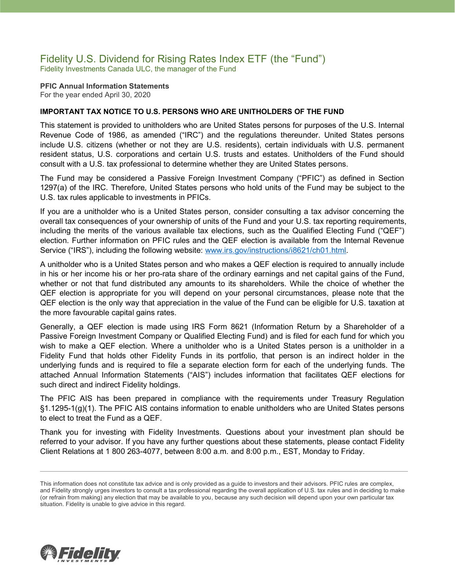### Fidelity U.S. Dividend for Rising Rates Index ETF (the "Fund") Fidelity Investments Canada ULC, the manager of the Fund

#### **PFIC Annual Information Statements** For the year ended April 30, 2020

### **IMPORTANT TAX NOTICE TO U.S. PERSONS WHO ARE UNITHOLDERS OF THE FUND**

This statement is provided to unitholders who are United States persons for purposes of the U.S. Internal Revenue Code of 1986, as amended ("IRC") and the regulations thereunder. United States persons include U.S. citizens (whether or not they are U.S. residents), certain individuals with U.S. permanent resident status, U.S. corporations and certain U.S. trusts and estates. Unitholders of the Fund should consult with a U.S. tax professional to determine whether they are United States persons.

The Fund may be considered a Passive Foreign Investment Company ("PFIC") as defined in Section 1297(a) of the IRC. Therefore, United States persons who hold units of the Fund may be subject to the U.S. tax rules applicable to investments in PFICs.

If you are a unitholder who is a United States person, consider consulting a tax advisor concerning the overall tax consequences of your ownership of units of the Fund and your U.S. tax reporting requirements, including the merits of the various available tax elections, such as the Qualified Electing Fund ("QEF") election. Further information on PFIC rules and the QEF election is available from the Internal Revenue Service ("IRS"), including the following website: [www.irs.gov/instructions/i8621/ch01.html.](http://www.irs.gov/instructions/i8621/ch01.html)

A unitholder who is a United States person and who makes a QEF election is required to annually include in his or her income his or her pro-rata share of the ordinary earnings and net capital gains of the Fund, whether or not that fund distributed any amounts to its shareholders. While the choice of whether the QEF election is appropriate for you will depend on your personal circumstances, please note that the QEF election is the only way that appreciation in the value of the Fund can be eligible for U.S. taxation at the more favourable capital gains rates.

Generally, a QEF election is made using IRS Form 8621 (Information Return by a Shareholder of a Passive Foreign Investment Company or Qualified Electing Fund) and is filed for each fund for which you wish to make a QEF election. Where a unitholder who is a United States person is a unitholder in a Fidelity Fund that holds other Fidelity Funds in its portfolio, that person is an indirect holder in the underlying funds and is required to file a separate election form for each of the underlying funds. The attached Annual Information Statements ("AIS") includes information that facilitates QEF elections for such direct and indirect Fidelity holdings.

The PFIC AIS has been prepared in compliance with the requirements under Treasury Regulation §1.1295-1(g)(1). The PFIC AIS contains information to enable unitholders who are United States persons to elect to treat the Fund as a QEF.

Thank you for investing with Fidelity Investments. Questions about your investment plan should be referred to your advisor. If you have any further questions about these statements, please contact Fidelity Client Relations at 1 800 263-4077, between 8:00 a.m. and 8:00 p.m., EST, Monday to Friday.



This information does not constitute tax advice and is only provided as a guide to investors and their advisors. PFIC rules are complex, and Fidelity strongly urges investors to consult a tax professional regarding the overall application of U.S. tax rules and in deciding to make (or refrain from making) any election that may be available to you, because any such decision will depend upon your own particular tax situation. Fidelity is unable to give advice in this regard.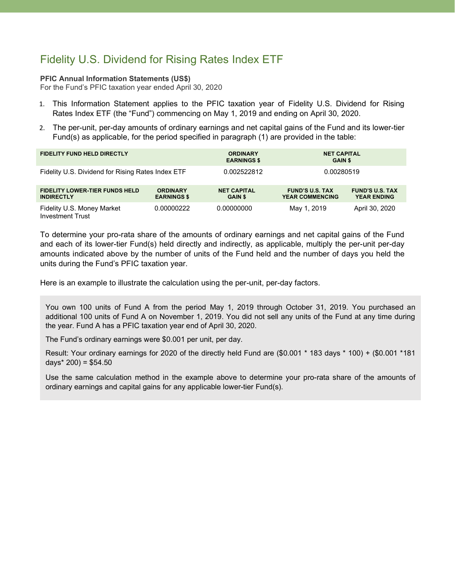# Fidelity U.S. Dividend for Rising Rates Index ETF

#### **PFIC Annual Information Statements (US\$)**

For the Fund's PFIC taxation year ended April 30, 2020

- 1. This Information Statement applies to the PFIC taxation year of Fidelity U.S. Dividend for Rising Rates Index ETF (the "Fund") commencing on May 1, 2019 and ending on April 30, 2020.
- 2. The per-unit, per-day amounts of ordinary earnings and net capital gains of the Fund and its lower-tier Fund(s) as applicable, for the period specified in paragraph (1) are provided in the table:

| <b>FIDELITY FUND HELD DIRECTLY</b>                         |                                       | <b>ORDINARY</b><br><b>EARNINGS \$</b> | <b>NET CAPITAL</b><br><b>GAIN \$</b>             |                                              |
|------------------------------------------------------------|---------------------------------------|---------------------------------------|--------------------------------------------------|----------------------------------------------|
| Fidelity U.S. Dividend for Rising Rates Index ETF          |                                       | 0.002522812                           | 0.00280519                                       |                                              |
| <b>FIDELITY LOWER-TIER FUNDS HELD</b><br><b>INDIRECTLY</b> | <b>ORDINARY</b><br><b>EARNINGS \$</b> | <b>NET CAPITAL</b><br><b>GAIN \$</b>  | <b>FUND'S U.S. TAX</b><br><b>YEAR COMMENCING</b> | <b>FUND'S U.S. TAX</b><br><b>YEAR ENDING</b> |
| Fidelity U.S. Money Market<br><b>Investment Trust</b>      | 0.00000222                            | 0.00000000                            | May 1, 2019                                      | April 30, 2020                               |

To determine your pro-rata share of the amounts of ordinary earnings and net capital gains of the Fund and each of its lower-tier Fund(s) held directly and indirectly, as applicable, multiply the per-unit per-day amounts indicated above by the number of units of the Fund held and the number of days you held the units during the Fund's PFIC taxation year.

Here is an example to illustrate the calculation using the per-unit, per-day factors.

You own 100 units of Fund A from the period May 1, 2019 through October 31, 2019. You purchased an additional 100 units of Fund A on November 1, 2019. You did not sell any units of the Fund at any time during the year. Fund A has a PFIC taxation year end of April 30, 2020.

The Fund's ordinary earnings were \$0.001 per unit, per day.

Result: Your ordinary earnings for 2020 of the directly held Fund are (\$0.001 \* 183 days \* 100) + (\$0.001 \*181 days $*$  200) = \$54.50

Use the same calculation method in the example above to determine your pro-rata share of the amounts of ordinary earnings and capital gains for any applicable lower-tier Fund(s).